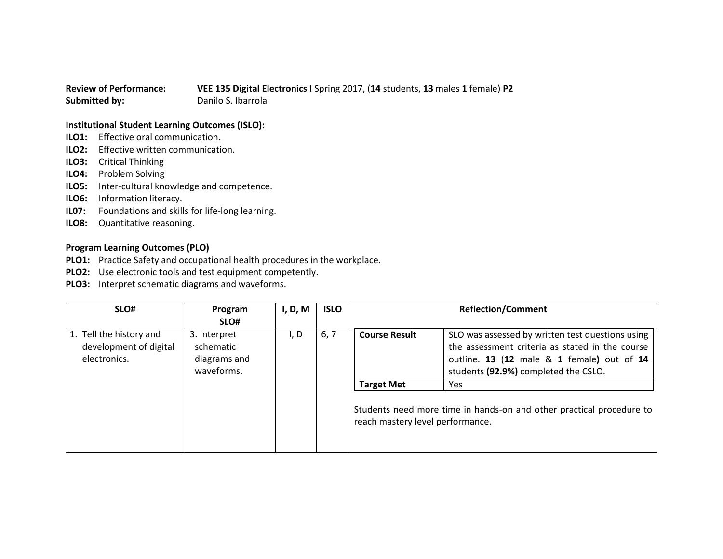## **Review of Performance: VEE 135 Digital Electronics I** Spring 2017, (**14** students, **13** males **1** female) **P2 Submitted by:** Danilo S. Ibarrola

## **Institutional Student Learning Outcomes (ISLO):**

- **ILO1:** Effective oral communication.
- **ILO2:** Effective written communication.
- **ILO3:** Critical Thinking
- **ILO4:** Problem Solving
- **ILO5:** Inter-cultural knowledge and competence.
- **ILO6:** Information literacy.
- **IL07:** Foundations and skills for life-long learning.
- **ILO8:** Quantitative reasoning.

## **Program Learning Outcomes (PLO)**

- **PLO1:** Practice Safety and occupational health procedures in the workplace.
- **PLO2:** Use electronic tools and test equipment competently.
- **PLO3:** Interpret schematic diagrams and waveforms.

| SLO#                                                              | Program                                                 | I, D, M | <b>ISLO</b> | <b>Reflection/Comment</b>                                                                                  |                                                                                                                                                                                           |
|-------------------------------------------------------------------|---------------------------------------------------------|---------|-------------|------------------------------------------------------------------------------------------------------------|-------------------------------------------------------------------------------------------------------------------------------------------------------------------------------------------|
|                                                                   | SLO#                                                    |         |             |                                                                                                            |                                                                                                                                                                                           |
| 1. Tell the history and<br>development of digital<br>electronics. | 3. Interpret<br>schematic<br>diagrams and<br>waveforms. | I, D    | 6, 7        | <b>Course Result</b>                                                                                       | SLO was assessed by written test questions using<br>the assessment criteria as stated in the course<br>outline. 13 (12 male & 1 female) out of 14<br>students (92.9%) completed the CSLO. |
|                                                                   |                                                         |         |             | <b>Target Met</b>                                                                                          | <b>Yes</b>                                                                                                                                                                                |
|                                                                   |                                                         |         |             | Students need more time in hands-on and other practical procedure to  <br>reach mastery level performance. |                                                                                                                                                                                           |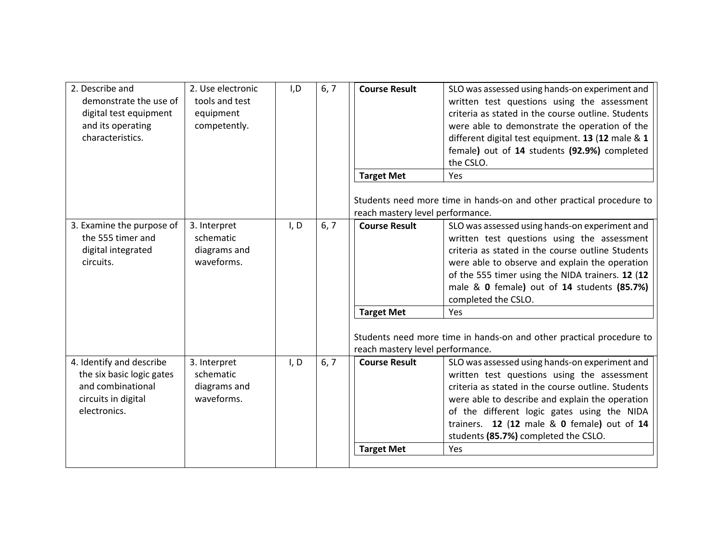| 2. Describe and<br>demonstrate the use of<br>digital test equipment<br>and its operating<br>characteristics.      | 2. Use electronic<br>tools and test<br>equipment<br>competently. | I.D  | 6, 7 | <b>Course Result</b>                                  | SLO was assessed using hands-on experiment and<br>written test questions using the assessment<br>criteria as stated in the course outline. Students<br>were able to demonstrate the operation of the<br>different digital test equipment. 13 (12 male & 1<br>female) out of 14 students (92.9%) completed<br>the CSLO.<br>Yes                       |
|-------------------------------------------------------------------------------------------------------------------|------------------------------------------------------------------|------|------|-------------------------------------------------------|-----------------------------------------------------------------------------------------------------------------------------------------------------------------------------------------------------------------------------------------------------------------------------------------------------------------------------------------------------|
|                                                                                                                   |                                                                  |      |      | <b>Target Met</b><br>reach mastery level performance. | Students need more time in hands-on and other practical procedure to                                                                                                                                                                                                                                                                                |
| 3. Examine the purpose of<br>the 555 timer and<br>digital integrated<br>circuits.                                 | 3. Interpret<br>schematic<br>diagrams and<br>waveforms.          | I, D | 6, 7 | <b>Course Result</b>                                  | SLO was assessed using hands-on experiment and<br>written test questions using the assessment<br>criteria as stated in the course outline Students<br>were able to observe and explain the operation<br>of the 555 timer using the NIDA trainers. 12 (12<br>male & 0 female) out of 14 students (85.7%)<br>completed the CSLO.                      |
|                                                                                                                   |                                                                  |      |      | <b>Target Met</b><br>reach mastery level performance. | Yes<br>Students need more time in hands-on and other practical procedure to                                                                                                                                                                                                                                                                         |
| 4. Identify and describe<br>the six basic logic gates<br>and combinational<br>circuits in digital<br>electronics. | 3. Interpret<br>schematic<br>diagrams and<br>waveforms.          | I, D | 6, 7 | <b>Course Result</b><br><b>Target Met</b>             | SLO was assessed using hands-on experiment and<br>written test questions using the assessment<br>criteria as stated in the course outline. Students<br>were able to describe and explain the operation<br>of the different logic gates using the NIDA<br>trainers. 12 (12 male & 0 female) out of 14<br>students (85.7%) completed the CSLO.<br>Yes |
|                                                                                                                   |                                                                  |      |      |                                                       |                                                                                                                                                                                                                                                                                                                                                     |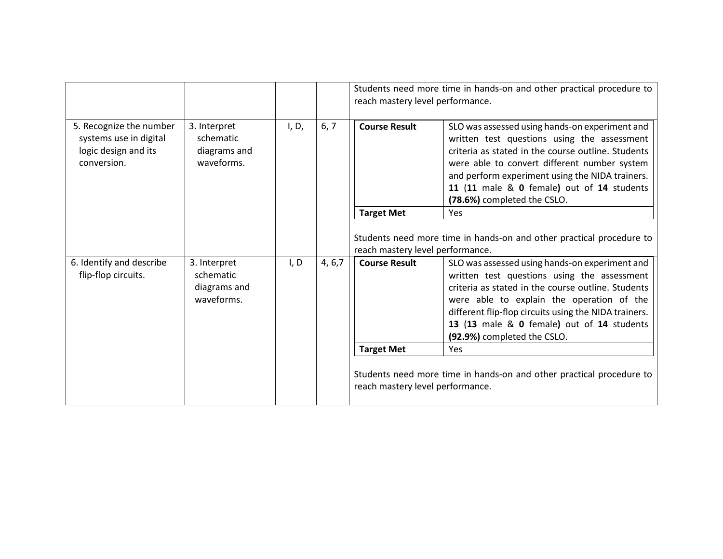|                                                                                          |                                                         |       |         | Students need more time in hands-on and other practical procedure to<br>reach mastery level performance. |                                                                                                                                                                                                                                                                                                                                        |  |
|------------------------------------------------------------------------------------------|---------------------------------------------------------|-------|---------|----------------------------------------------------------------------------------------------------------|----------------------------------------------------------------------------------------------------------------------------------------------------------------------------------------------------------------------------------------------------------------------------------------------------------------------------------------|--|
| 5. Recognize the number<br>systems use in digital<br>logic design and its<br>conversion. | 3. Interpret<br>schematic<br>diagrams and<br>waveforms. | I, D, | 6, 7    | <b>Course Result</b>                                                                                     | SLO was assessed using hands-on experiment and<br>written test questions using the assessment<br>criteria as stated in the course outline. Students<br>were able to convert different number system<br>and perform experiment using the NIDA trainers.<br>11 (11 male & 0 female) out of 14 students<br>(78.6%) completed the CSLO.    |  |
|                                                                                          |                                                         |       |         | <b>Target Met</b>                                                                                        | <b>Yes</b>                                                                                                                                                                                                                                                                                                                             |  |
|                                                                                          |                                                         |       |         | reach mastery level performance.                                                                         | Students need more time in hands-on and other practical procedure to                                                                                                                                                                                                                                                                   |  |
| 6. Identify and describe<br>flip-flop circuits.                                          | 3. Interpret<br>schematic<br>diagrams and<br>waveforms. | I, D  | 4, 6, 7 | <b>Course Result</b>                                                                                     | SLO was assessed using hands-on experiment and<br>written test questions using the assessment<br>criteria as stated in the course outline. Students<br>were able to explain the operation of the<br>different flip-flop circuits using the NIDA trainers.<br>13 (13 male & 0 female) out of 14 students<br>(92.9%) completed the CSLO. |  |
|                                                                                          |                                                         |       |         | <b>Target Met</b>                                                                                        | <b>Yes</b>                                                                                                                                                                                                                                                                                                                             |  |
|                                                                                          |                                                         |       |         | reach mastery level performance.                                                                         | Students need more time in hands-on and other practical procedure to                                                                                                                                                                                                                                                                   |  |